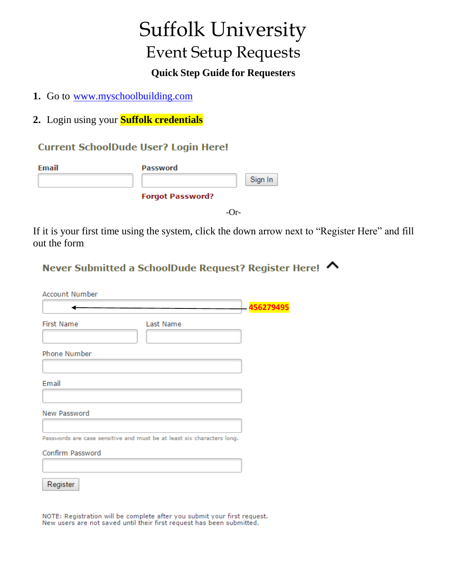# Suffolk University Event Setup Requests

## **Quick Step Guide for Requesters**

- **1.** Go to [www.myschoolbuilding.com](http://www.myschoolbuilding.com/)
- **2.** Login using your **Suffolk credentials**

#### **Current SchoolDude User? Login Here!**

| Email | <b>Password</b>         |
|-------|-------------------------|
|       | Sign In                 |
|       | <b>Forgot Password?</b> |
|       |                         |

If it is your first time using the system, click the down arrow next to "Register Here" and fill out the form

## Never Submitted a SchoolDude Request? Register Here! ∧

| <b>Account Number</b>                                                  |           |
|------------------------------------------------------------------------|-----------|
|                                                                        | 456279495 |
| <b>First Name</b><br>Last Name                                         |           |
| Phone Number                                                           |           |
|                                                                        |           |
| Email                                                                  |           |
|                                                                        |           |
| New Password                                                           |           |
|                                                                        |           |
| Passwords are case sensitive and must be at least six characters long. |           |
| Confirm Password                                                       |           |
|                                                                        |           |
| Register                                                               |           |

NOTE: Registration will be complete after you submit your first request. New users are not saved until their first request has been submitted.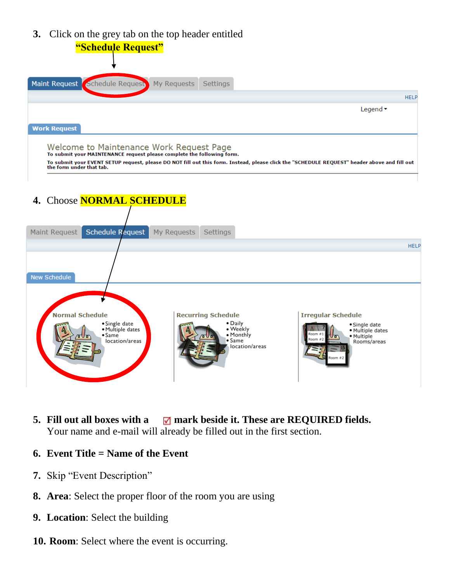**3.** Click on the grey tab on the top header entitled



To submit your EVENT SETUP request, please DO NOT fill out this form. Instead, please click the "SCHEDULE REQUEST" header above and fill out<br>the form under that tab.

**4.** Choose **NORMAL SCHEDULE**



- **5. Fill out all boxes with a mark beside it. These are REQUIRED fields.**  Your name and e-mail will already be filled out in the first section.
- **6. Event Title = Name of the Event**
- **7.** Skip "Event Description"
- **8. Area**: Select the proper floor of the room you are using
- **9. Location**: Select the building
- **10. Room**: Select where the event is occurring.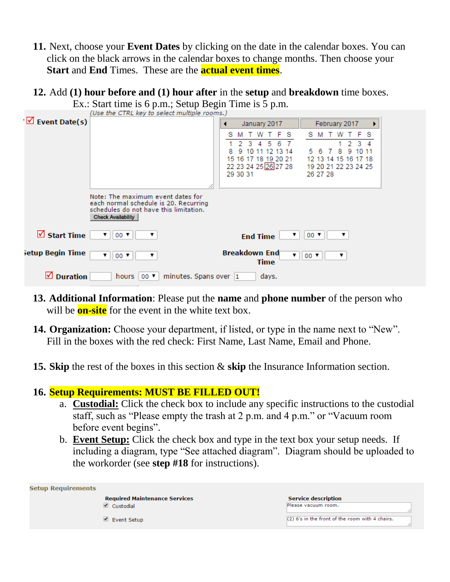- **11.** Next, choose your **Event Dates** by clicking on the date in the calendar boxes. You can click on the black arrows in the calendar boxes to change months. Then choose your **Start** and **End** Times. These are the **actual event times**.
- **12.** Add **(1) hour before and (1) hour after** in the **setup** and **breakdown** time boxes. Ex.: Start time is 6 p.m.; Setup Begin Time is 5 p.m.

|                               | $2.5$ . Start throw to $\circ$ plant, social $2.5$ and $2.5$ and $2.5$ plant                                                                      |                                                                                                   |
|-------------------------------|---------------------------------------------------------------------------------------------------------------------------------------------------|---------------------------------------------------------------------------------------------------|
|                               | (Use the CTRL key to select multiple rooms.)                                                                                                      |                                                                                                   |
| $\triangledown$ Event Date(s) |                                                                                                                                                   | February 2017<br>January 2017<br>,                                                                |
|                               |                                                                                                                                                   | TFS<br>w<br>F S<br>s<br>s<br>w<br>м                                                               |
|                               |                                                                                                                                                   | 3.<br>5                                                                                           |
|                               |                                                                                                                                                   | 13<br>8                                                                                           |
|                               |                                                                                                                                                   | 16 17 18 19 20 21<br>13 14 15<br>16.<br>15<br>12.<br>22 23 24 25 26 27 28<br>19 20 21 22 23 24 25 |
|                               |                                                                                                                                                   | 29 30 31<br>26 27 28                                                                              |
|                               |                                                                                                                                                   |                                                                                                   |
|                               | Note: The maximum event dates for<br>each normal schedule is 20. Recurring<br>schedules do not have this limitation.<br><b>Check Availability</b> |                                                                                                   |
| $\boxtimes$ Start Time        | $00$ $\blacktriangledown$<br>▼.<br>▼                                                                                                              | $00$ $\blacktriangledown$<br>▼<br>▼<br><b>End Time</b>                                            |
| setup Begin Time              | $00$ $\blacktriangledown$<br>▼<br>▼                                                                                                               | <b>Breakdown End</b><br>$00$ $\blacktriangledown$<br>▼∣<br>Time                                   |
| ⋈<br><b>Duration</b>          | minutes. Spans over 1<br>hours  <br>$00$ $\blacktriangledown$                                                                                     | days.                                                                                             |

- **13. Additional Information**: Please put the **name** and **phone number** of the person who will be **on-site** for the event in the white text box.
- **14. Organization:** Choose your department, if listed, or type in the name next to "New". Fill in the boxes with the red check: First Name, Last Name, Email and Phone.
- **15. Skip** the rest of the boxes in this section & **skip** the Insurance Information section.

#### **16. Setup Requirements: MUST BE FILLED OUT!**

- a. **Custodial:** Click the check box to include any specific instructions to the custodial staff, such as "Please empty the trash at 2 p.m. and 4 p.m." or "Vacuum room before event begins".
- b. **Event Setup:** Click the check box and type in the text box your setup needs. If including a diagram, type "See attached diagram". Diagram should be uploaded to the workorder (see **step #18** for instructions).

| <b>Setup Requirements</b>            |                                                   |
|--------------------------------------|---------------------------------------------------|
| <b>Required Maintenance Services</b> | <b>Service description</b>                        |
| $\blacksquare$ Custodial             | Please vacuum room.                               |
| $\blacksquare$ Event Setup           | $(2)$ 6's in the front of the room with 4 chairs. |